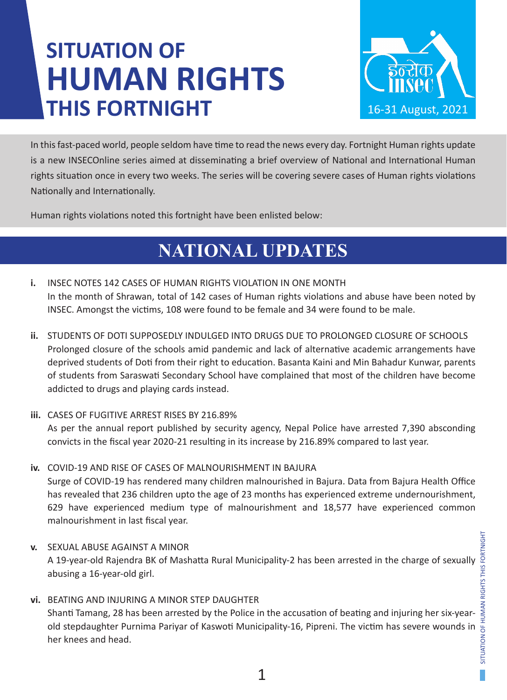# **SITUATION OF HUMAN RIGHTS THIS FORTNIGHT**



In this fast-paced world, people seldom have time to read the news every day. Fortnight Human rights update is a new INSECOnline series aimed at disseminating a brief overview of National and International Human rights situation once in every two weeks. The series will be covering severe cases of Human rights violations Nationally and Internationally.

Human rights violations noted this fortnight have been enlisted below:

## **NATIONAL UPDATES**

- **i.** INSEC NOTES 142 CASES OF HUMAN RIGHTS VIOLATION IN ONE MONTH In the month of Shrawan, total of 142 cases of Human rights violations and abuse have been noted by INSEC. Amongst the victims, 108 were found to be female and 34 were found to be male.
- **ii.** STUDENTS OF DOTI SUPPOSEDLY INDULGED INTO DRUGS DUE TO PROLONGED CLOSURE OF SCHOOLS Prolonged closure of the schools amid pandemic and lack of alternative academic arrangements have deprived students of Doti from their right to education. Basanta Kaini and Min Bahadur Kunwar, parents of students from Saraswati Secondary School have complained that most of the children have become addicted to drugs and playing cards instead.
- **iii.** CASES OF FUGITIVE ARREST RISES BY 216.89% As per the annual report published by security agency, Nepal Police have arrested 7,390 absconding convicts in the fiscal year 2020-21 resulting in its increase by 216.89% compared to last year.
- **iv.** COVID-19 AND RISE OF CASES OF MALNOURISHMENT IN BAJURA Surge of COVID-19 has rendered many children malnourished in Bajura. Data from Bajura Health Office has revealed that 236 children upto the age of 23 months has experienced extreme undernourishment, 629 have experienced medium type of malnourishment and 18,577 have experienced common malnourishment in last fiscal year.
- **v.** SEXUAL ABUSE AGAINST A MINOR abusing a 16-year-old girl.
- SEXUAL ABUSE AGAINST A MINOR<br>A 19-year-old Rajendra BK of Mashatta Rural Municipality-2 has been arrested in the charge of sexually<br>abusing a 16-year-old girl.<br>BEATING AND INJURING A MINOR STEP DAUGHTER<br>Shanti Tamang, 28 h **vi.** BEATING AND INJURING A MINOR STEP DAUGHTER Shanti Tamang, 28 has been arrested by the Police in the accusation of beating and injuring her six-yearold stepdaughter Purnima Pariyar of Kaswoti Municipality-16, Pipreni. The victim has severe wounds in her knees and head.